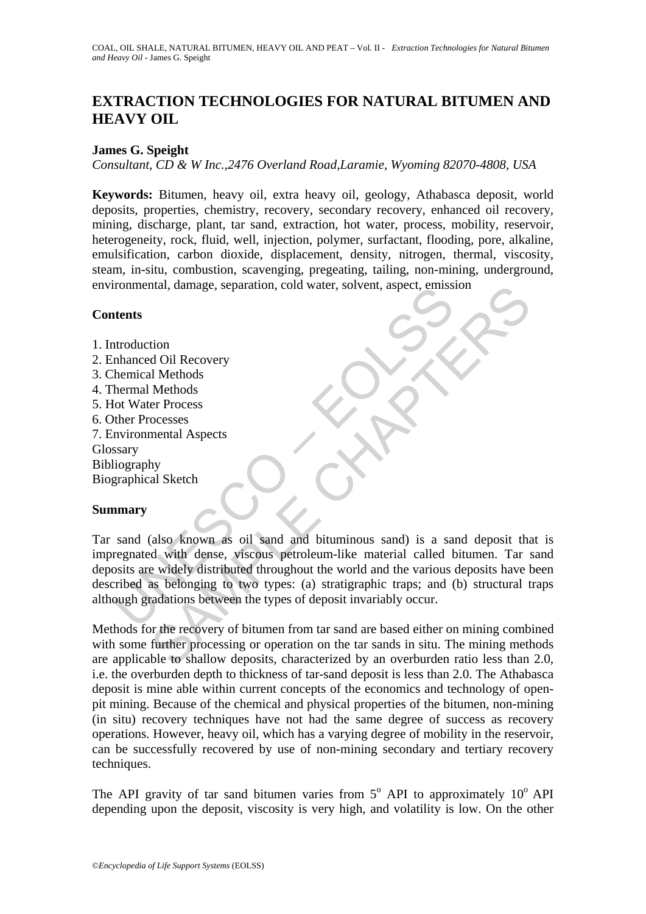# **EXTRACTION TECHNOLOGIES FOR NATURAL BITUMEN AND HEAVY OIL**

## **James G. Speight**

*Consultant, CD & W Inc.,2476 Overland Road,Laramie, Wyoming 82070-4808, USA* 

**Keywords:** Bitumen, heavy oil, extra heavy oil, geology, Athabasca deposit, world deposits, properties, chemistry, recovery, secondary recovery, enhanced oil recovery, mining, discharge, plant, tar sand, extraction, hot water, process, mobility, reservoir, heterogeneity, rock, fluid, well, injection, polymer, surfactant, flooding, pore, alkaline, emulsification, carbon dioxide, displacement, density, nitrogen, thermal, viscosity, steam, in-situ, combustion, scavenging, pregeating, tailing, non-mining, underground, environmental, damage, separation, cold water, solvent, aspect, emission

### **Contents**

- 1. Introduction
- 2. Enhanced Oil Recovery
- 3. Chemical Methods
- 4. Thermal Methods
- 5. Hot Water Process
- 6. Other Processes
- 7. Environmental Aspects Glossary Bibliography Biographical Sketch

# **Summary**

Frankright Controllering Controllering Controllering Controllering Controllering Scheen Controllering Methods<br>
Internal Methods<br>
Internal Methods<br>
Internal Methods<br>
Internal Methods<br>
Scotter Processes<br>
Internal Alethods<br>
S That a comanage, separation, cold water, solvent, aspect, emission<br>
d Oil Recovery<br>
al Methods<br>
Methods<br>
Methods<br>
Methods<br>
Methods<br>
Methods<br>
Corses<br>
mental Aspects<br>
mental Aspects<br>
My<br>
al Sketch<br>
My<br>
al Sketch<br>
My<br>
al Sket Tar sand (also known as oil sand and bituminous sand) is a sand deposit that is impregnated with dense, viscous petroleum-like material called bitumen. Tar sand deposits are widely distributed throughout the world and the various deposits have been described as belonging to two types: (a) stratigraphic traps; and (b) structural traps although gradations between the types of deposit invariably occur.

Methods for the recovery of bitumen from tar sand are based either on mining combined with some further processing or operation on the tar sands in situ. The mining methods are applicable to shallow deposits, characterized by an overburden ratio less than 2.0, i.e. the overburden depth to thickness of tar-sand deposit is less than 2.0. The Athabasca deposit is mine able within current concepts of the economics and technology of openpit mining. Because of the chemical and physical properties of the bitumen, non-mining (in situ) recovery techniques have not had the same degree of success as recovery operations. However, heavy oil, which has a varying degree of mobility in the reservoir, can be successfully recovered by use of non-mining secondary and tertiary recovery techniques.

The API gravity of tar sand bitumen varies from  $5^{\circ}$  API to approximately  $10^{\circ}$  API depending upon the deposit, viscosity is very high, and volatility is low. On the other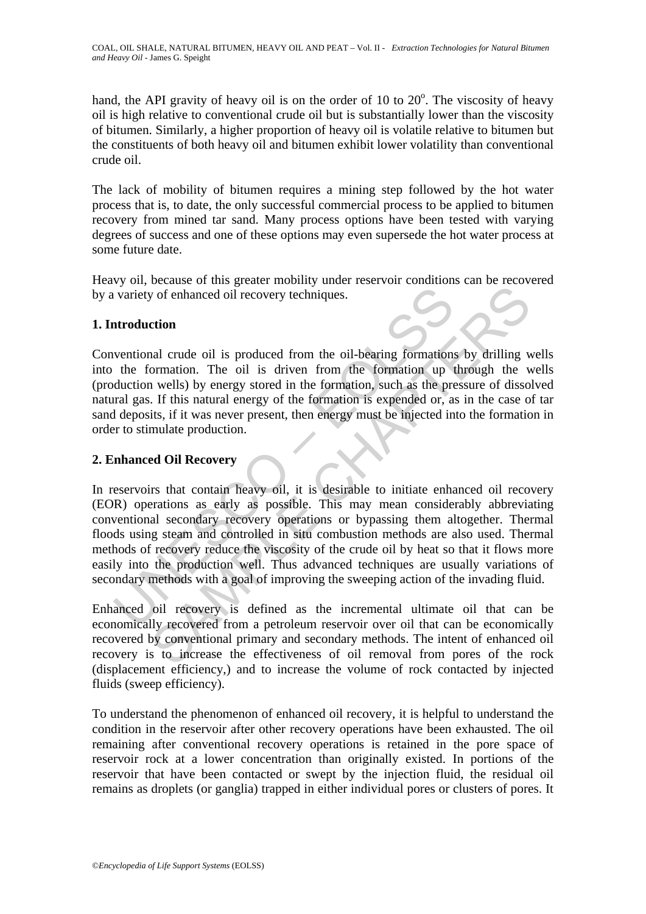hand, the API gravity of heavy oil is on the order of  $10$  to  $20^\circ$ . The viscosity of heavy oil is high relative to conventional crude oil but is substantially lower than the viscosity of bitumen. Similarly, a higher proportion of heavy oil is volatile relative to bitumen but the constituents of both heavy oil and bitumen exhibit lower volatility than conventional crude oil.

The lack of mobility of bitumen requires a mining step followed by the hot water process that is, to date, the only successful commercial process to be applied to bitumen recovery from mined tar sand. Many process options have been tested with varying degrees of success and one of these options may even supersede the hot water process at some future date.

Heavy oil, because of this greater mobility under reservoir conditions can be recovered by a variety of enhanced oil recovery techniques.

# **1. Introduction**

Conventional crude oil is produced from the oil-bearing formations by drilling wells into the formation. The oil is driven from the formation up through the wells (production wells) by energy stored in the formation, such as the pressure of dissolved natural gas. If this natural energy of the formation is expended or, as in the case of tar sand deposits, if it was never present, then energy must be injected into the formation in order to stimulate production.

### **2. Enhanced Oil Recovery**

variety of enhanced oil recovery techniques.<br> **Atroduction**<br>
ventional crude oil is produced from the oil-bearing formation-<br>
the formation. The oil is driven from the lormation up iduction wells) by energy stored in the f or of enhanced oil recovery techniques.<br>
and crude oil is produced from the oil-bearing formations by drilling w<br>
and crude oil is produced from the formation, such as the pressure of disso<br>
1. If this natural energy store In reservoirs that contain heavy oil, it is desirable to initiate enhanced oil recovery (EOR) operations as early as possible. This may mean considerably abbreviating conventional secondary recovery operations or bypassing them altogether. Thermal floods using steam and controlled in situ combustion methods are also used. Thermal methods of recovery reduce the viscosity of the crude oil by heat so that it flows more easily into the production well. Thus advanced techniques are usually variations of secondary methods with a goal of improving the sweeping action of the invading fluid.

Enhanced oil recovery is defined as the incremental ultimate oil that can be economically recovered from a petroleum reservoir over oil that can be economically recovered by conventional primary and secondary methods. The intent of enhanced oil recovery is to increase the effectiveness of oil removal from pores of the rock (displacement efficiency,) and to increase the volume of rock contacted by injected fluids (sweep efficiency).

To understand the phenomenon of enhanced oil recovery, it is helpful to understand the condition in the reservoir after other recovery operations have been exhausted. The oil remaining after conventional recovery operations is retained in the pore space of reservoir rock at a lower concentration than originally existed. In portions of the reservoir that have been contacted or swept by the injection fluid, the residual oil remains as droplets (or ganglia) trapped in either individual pores or clusters of pores. It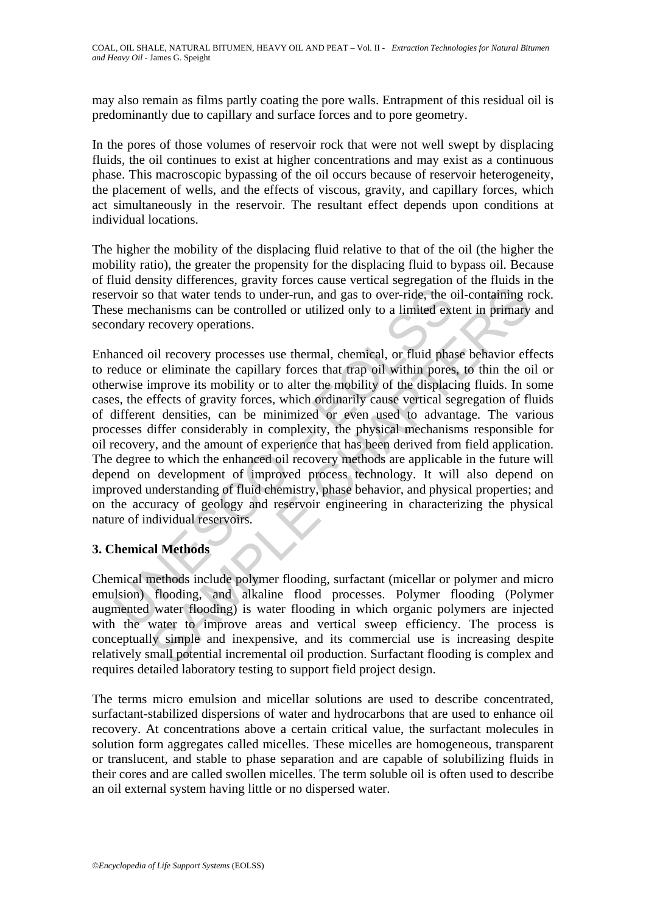may also remain as films partly coating the pore walls. Entrapment of this residual oil is predominantly due to capillary and surface forces and to pore geometry.

In the pores of those volumes of reservoir rock that were not well swept by displacing fluids, the oil continues to exist at higher concentrations and may exist as a continuous phase. This macroscopic bypassing of the oil occurs because of reservoir heterogeneity, the placement of wells, and the effects of viscous, gravity, and capillary forces, which act simultaneously in the reservoir. The resultant effect depends upon conditions at individual locations.

The higher the mobility of the displacing fluid relative to that of the oil (the higher the mobility ratio), the greater the propensity for the displacing fluid to bypass oil. Because of fluid density differences, gravity forces cause vertical segregation of the fluids in the reservoir so that water tends to under-run, and gas to over-ride, the oil-containing rock. These mechanisms can be controlled or utilized only to a limited extent in primary and secondary recovery operations.

rvoir so that water tends to under-run, and gas to over-ride, the c<br>se mechanisms can be controlled or utilized only to a limited ext<br>of matrices emechanisms can be controlled or utilized only to a limited ext<br>ordary recov To that water tends to under-run, and gas to over-ride, the oil-containing radius and the value of the controlled or utilized only to a limited extent in primary recovery operations.<br>
Soil recovery processes use thermal, c Enhanced oil recovery processes use thermal, chemical, or fluid phase behavior effects to reduce or eliminate the capillary forces that trap oil within pores, to thin the oil or otherwise improve its mobility or to alter the mobility of the displacing fluids. In some cases, the effects of gravity forces, which ordinarily cause vertical segregation of fluids of different densities, can be minimized or even used to advantage. The various processes differ considerably in complexity, the physical mechanisms responsible for oil recovery, and the amount of experience that has been derived from field application. The degree to which the enhanced oil recovery methods are applicable in the future will depend on development of improved process technology. It will also depend on improved understanding of fluid chemistry, phase behavior, and physical properties; and on the accuracy of geology and reservoir engineering in characterizing the physical nature of individual reservoirs.

# **3. Chemical Methods**

Chemical methods include polymer flooding, surfactant (micellar or polymer and micro emulsion) flooding, and alkaline flood processes. Polymer flooding (Polymer augmented water flooding) is water flooding in which organic polymers are injected with the water to improve areas and vertical sweep efficiency. The process is conceptually simple and inexpensive, and its commercial use is increasing despite relatively small potential incremental oil production. Surfactant flooding is complex and requires detailed laboratory testing to support field project design.

The terms micro emulsion and micellar solutions are used to describe concentrated, surfactant-stabilized dispersions of water and hydrocarbons that are used to enhance oil recovery. At concentrations above a certain critical value, the surfactant molecules in solution form aggregates called micelles. These micelles are homogeneous, transparent or translucent, and stable to phase separation and are capable of solubilizing fluids in their cores and are called swollen micelles. The term soluble oil is often used to describe an oil external system having little or no dispersed water.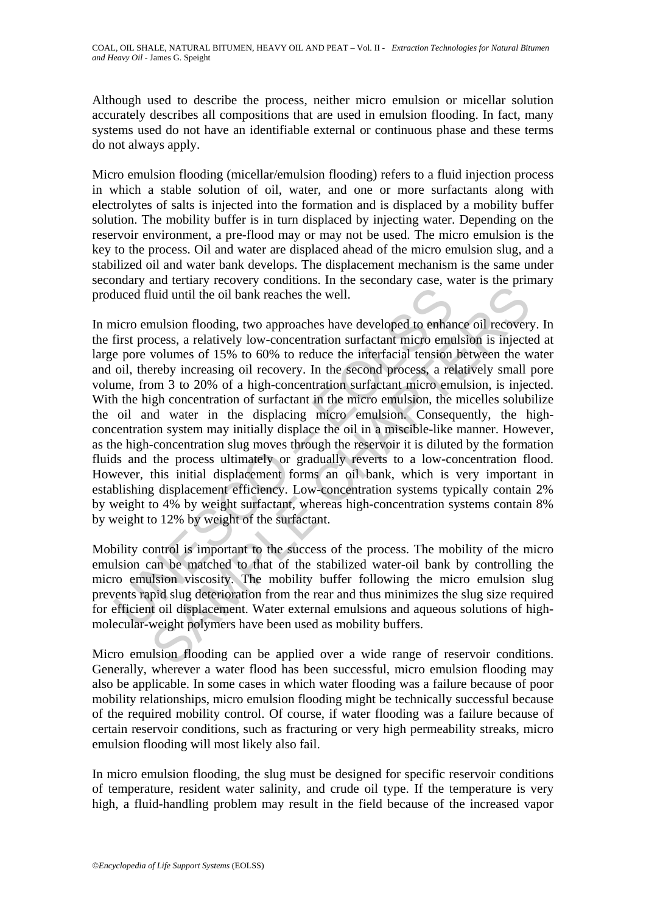Although used to describe the process, neither micro emulsion or micellar solution accurately describes all compositions that are used in emulsion flooding. In fact, many systems used do not have an identifiable external or continuous phase and these terms do not always apply.

Micro emulsion flooding (micellar/emulsion flooding) refers to a fluid injection process in which a stable solution of oil, water, and one or more surfactants along with electrolytes of salts is injected into the formation and is displaced by a mobility buffer solution. The mobility buffer is in turn displaced by injecting water. Depending on the reservoir environment, a pre-flood may or may not be used. The micro emulsion is the key to the process. Oil and water are displaced ahead of the micro emulsion slug, and a stabilized oil and water bank develops. The displacement mechanism is the same under secondary and tertiary recovery conditions. In the secondary case, water is the primary produced fluid until the oil bank reaches the well.

duced fluid until the oil bank reaches the well.<br>nicro emulsion flooding, two approaches have developed to enharm<br>first process, a relatively low-concentration surfactant micro em<br>ne por volumes of 15% to 60% to reduce the Initial displacement forms and increases the process. The molecular since the same product show divid until the oil bank reaches the well.<br>
mulsion flooding, two approaches have developed to enhance oil recoverncess, a re In micro emulsion flooding, two approaches have developed to enhance oil recovery. In the first process, a relatively low-concentration surfactant micro emulsion is injected at large pore volumes of 15% to 60% to reduce the interfacial tension between the water and oil, thereby increasing oil recovery. In the second process, a relatively small pore volume, from 3 to 20% of a high-concentration surfactant micro emulsion, is injected. With the high concentration of surfactant in the micro emulsion, the micelles solubilize the oil and water in the displacing micro emulsion. Consequently, the highconcentration system may initially displace the oil in a miscible-like manner. However, as the high-concentration slug moves through the reservoir it is diluted by the formation fluids and the process ultimately or gradually reverts to a low-concentration flood. However, this initial displacement forms an oil bank, which is very important in establishing displacement efficiency. Low-concentration systems typically contain 2% by weight to 4% by weight surfactant, whereas high-concentration systems contain 8% by weight to 12% by weight of the surfactant.

Mobility control is important to the success of the process. The mobility of the micro emulsion can be matched to that of the stabilized water-oil bank by controlling the micro emulsion viscosity. The mobility buffer following the micro emulsion slug prevents rapid slug deterioration from the rear and thus minimizes the slug size required for efficient oil displacement. Water external emulsions and aqueous solutions of highmolecular-weight polymers have been used as mobility buffers.

Micro emulsion flooding can be applied over a wide range of reservoir conditions. Generally, wherever a water flood has been successful, micro emulsion flooding may also be applicable. In some cases in which water flooding was a failure because of poor mobility relationships, micro emulsion flooding might be technically successful because of the required mobility control. Of course, if water flooding was a failure because of certain reservoir conditions, such as fracturing or very high permeability streaks, micro emulsion flooding will most likely also fail.

In micro emulsion flooding, the slug must be designed for specific reservoir conditions of temperature, resident water salinity, and crude oil type. If the temperature is very high, a fluid-handling problem may result in the field because of the increased vapor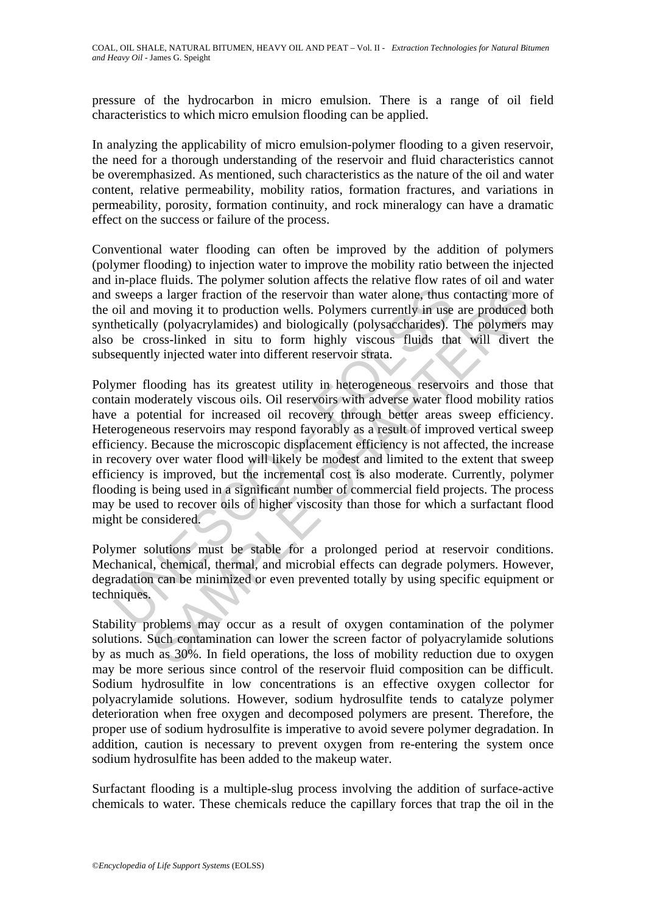pressure of the hydrocarbon in micro emulsion. There is a range of oil field characteristics to which micro emulsion flooding can be applied.

In analyzing the applicability of micro emulsion-polymer flooding to a given reservoir, the need for a thorough understanding of the reservoir and fluid characteristics cannot be overemphasized. As mentioned, such characteristics as the nature of the oil and water content, relative permeability, mobility ratios, formation fractures, and variations in permeability, porosity, formation continuity, and rock mineralogy can have a dramatic effect on the success or failure of the process.

Conventional water flooding can often be improved by the addition of polymers (polymer flooding) to injection water to improve the mobility ratio between the injected and in-place fluids. The polymer solution affects the relative flow rates of oil and water and sweeps a larger fraction of the reservoir than water alone, thus contacting more of the oil and moving it to production wells. Polymers currently in use are produced both synthetically (polyacrylamides) and biologically (polysaccharides). The polymers may also be cross-linked in situ to form highly viscous fluids that will divert the subsequently injected water into different reservoir strata.

sweeps a larger fraction of the reservoir than water alone, thus oil and moving it to production wells. Polymers currently in use hetically (polysacrylamides) and biologically (polysaccharides). The cross-linked in situ to is a larger fraction of the reservoir than water alone, thus contacting morologically (polypares currently in use are produced ly (polypares) and biologically (polysaccharides). The polymers moving it to production wells. Polymer flooding has its greatest utility in heterogeneous reservoirs and those that contain moderately viscous oils. Oil reservoirs with adverse water flood mobility ratios have a potential for increased oil recovery through better areas sweep efficiency. Heterogeneous reservoirs may respond favorably as a result of improved vertical sweep efficiency. Because the microscopic displacement efficiency is not affected, the increase in recovery over water flood will likely be modest and limited to the extent that sweep efficiency is improved, but the incremental cost is also moderate. Currently, polymer flooding is being used in a significant number of commercial field projects. The process may be used to recover oils of higher viscosity than those for which a surfactant flood might be considered.

Polymer solutions must be stable for a prolonged period at reservoir conditions. Mechanical, chemical, thermal, and microbial effects can degrade polymers. However, degradation can be minimized or even prevented totally by using specific equipment or techniques.

Stability problems may occur as a result of oxygen contamination of the polymer solutions. Such contamination can lower the screen factor of polyacrylamide solutions by as much as 30%. In field operations, the loss of mobility reduction due to oxygen may be more serious since control of the reservoir fluid composition can be difficult. Sodium hydrosulfite in low concentrations is an effective oxygen collector for polyacrylamide solutions. However, sodium hydrosulfite tends to catalyze polymer deterioration when free oxygen and decomposed polymers are present. Therefore, the proper use of sodium hydrosulfite is imperative to avoid severe polymer degradation. In addition, caution is necessary to prevent oxygen from re-entering the system once sodium hydrosulfite has been added to the makeup water.

Surfactant flooding is a multiple-slug process involving the addition of surface-active chemicals to water. These chemicals reduce the capillary forces that trap the oil in the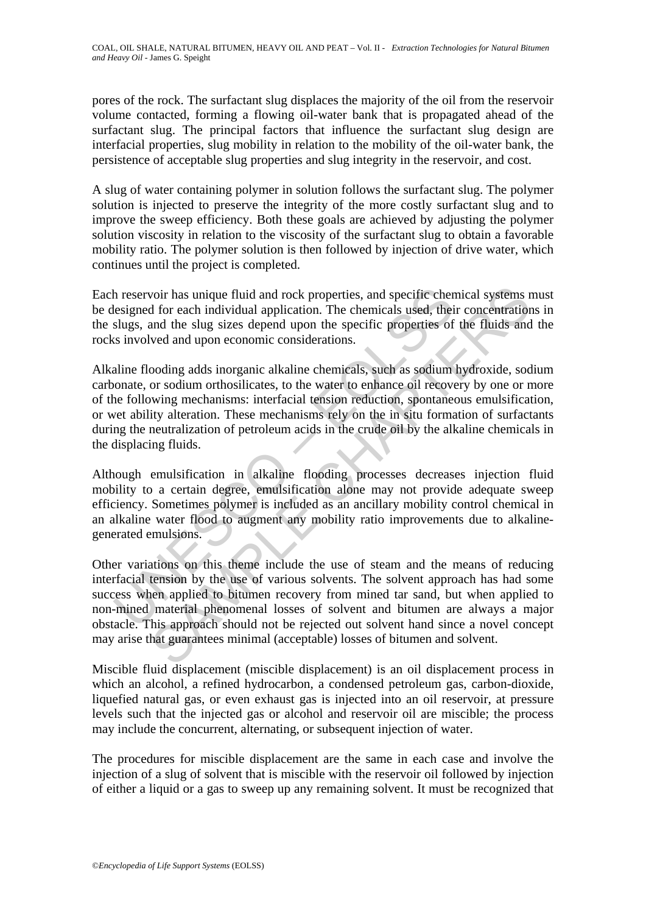pores of the rock. The surfactant slug displaces the majority of the oil from the reservoir volume contacted, forming a flowing oil-water bank that is propagated ahead of the surfactant slug. The principal factors that influence the surfactant slug design are interfacial properties, slug mobility in relation to the mobility of the oil-water bank, the persistence of acceptable slug properties and slug integrity in the reservoir, and cost.

A slug of water containing polymer in solution follows the surfactant slug. The polymer solution is injected to preserve the integrity of the more costly surfactant slug and to improve the sweep efficiency. Both these goals are achieved by adjusting the polymer solution viscosity in relation to the viscosity of the surfactant slug to obtain a favorable mobility ratio. The polymer solution is then followed by injection of drive water, which continues until the project is completed.

Each reservoir has unique fluid and rock properties, and specific chemical systems must be designed for each individual application. The chemicals used, their concentrations in the slugs, and the slug sizes depend upon the specific properties of the fluids and the rocks involved and upon economic considerations.

In eservoir has unique fluid and rock properties, and specific cheresigned for each individual application. The chemicals used, their slugs, and the slug sizes depend upon the specific properties of s involved and upon eco voir has unique fluid and rock properties, and specific chemical systems of for each individual application. The chemicals used, their concentration and the slug sizes depend upon the specific properties of the fluids and Alkaline flooding adds inorganic alkaline chemicals, such as sodium hydroxide, sodium carbonate, or sodium orthosilicates, to the water to enhance oil recovery by one or more of the following mechanisms: interfacial tension reduction, spontaneous emulsification, or wet ability alteration. These mechanisms rely on the in situ formation of surfactants during the neutralization of petroleum acids in the crude oil by the alkaline chemicals in the displacing fluids.

Although emulsification in alkaline flooding processes decreases injection fluid mobility to a certain degree, emulsification alone may not provide adequate sweep efficiency. Sometimes polymer is included as an ancillary mobility control chemical in an alkaline water flood to augment any mobility ratio improvements due to alkalinegenerated emulsions.

Other variations on this theme include the use of steam and the means of reducing interfacial tension by the use of various solvents. The solvent approach has had some success when applied to bitumen recovery from mined tar sand, but when applied to non-mined material phenomenal losses of solvent and bitumen are always a major obstacle. This approach should not be rejected out solvent hand since a novel concept may arise that guarantees minimal (acceptable) losses of bitumen and solvent.

Miscible fluid displacement (miscible displacement) is an oil displacement process in which an alcohol, a refined hydrocarbon, a condensed petroleum gas, carbon-dioxide, liquefied natural gas, or even exhaust gas is injected into an oil reservoir, at pressure levels such that the injected gas or alcohol and reservoir oil are miscible; the process may include the concurrent, alternating, or subsequent injection of water.

The procedures for miscible displacement are the same in each case and involve the injection of a slug of solvent that is miscible with the reservoir oil followed by injection of either a liquid or a gas to sweep up any remaining solvent. It must be recognized that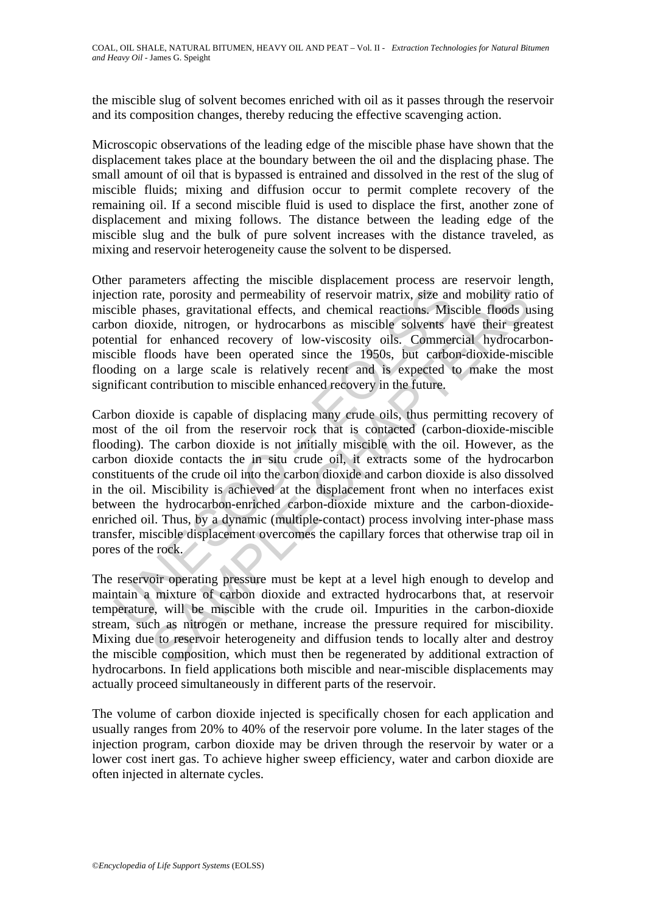the miscible slug of solvent becomes enriched with oil as it passes through the reservoir and its composition changes, thereby reducing the effective scavenging action.

Microscopic observations of the leading edge of the miscible phase have shown that the displacement takes place at the boundary between the oil and the displacing phase. The small amount of oil that is bypassed is entrained and dissolved in the rest of the slug of miscible fluids; mixing and diffusion occur to permit complete recovery of the remaining oil. If a second miscible fluid is used to displace the first, another zone of displacement and mixing follows. The distance between the leading edge of the miscible slug and the bulk of pure solvent increases with the distance traveled, as mixing and reservoir heterogeneity cause the solvent to be dispersed.

Other parameters affecting the miscible displacement process are reservoir length, injection rate, porosity and permeability of reservoir matrix, size and mobility ratio of miscible phases, gravitational effects, and chemical reactions. Miscible floods using carbon dioxide, nitrogen, or hydrocarbons as miscible solvents have their greatest potential for enhanced recovery of low-viscosity oils. Commercial hydrocarbonmiscible floods have been operated since the 1950s, but carbon-dioxide-miscible flooding on a large scale is relatively recent and is expected to make the most significant contribution to miscible enhanced recovery in the future.

cion rate, porosity and permeability of reservoir matrix, size an<br>cible phases, gravitational effects, and chemical reactions. Mis<br>oon dioxide, nitrogen, or hydrocarbons as miscible solvents h<br>mital for enhanced recovery o ite, porosity and permeability of reservoir matrix, size and mobility rations. Affective, nitrogen, or hydrocarbons as missible solvents baxied, integen, or hydrocarbons as missible Solvents have their great or chydrocarbo Carbon dioxide is capable of displacing many crude oils, thus permitting recovery of most of the oil from the reservoir rock that is contacted (carbon-dioxide-miscible flooding). The carbon dioxide is not initially miscible with the oil. However, as the carbon dioxide contacts the in situ crude oil, it extracts some of the hydrocarbon constituents of the crude oil into the carbon dioxide and carbon dioxide is also dissolved in the oil. Miscibility is achieved at the displacement front when no interfaces exist between the hydrocarbon-enriched carbon-dioxide mixture and the carbon-dioxideenriched oil. Thus, by a dynamic (multiple-contact) process involving inter-phase mass transfer, miscible displacement overcomes the capillary forces that otherwise trap oil in pores of the rock.

The reservoir operating pressure must be kept at a level high enough to develop and maintain a mixture of carbon dioxide and extracted hydrocarbons that, at reservoir temperature, will be miscible with the crude oil. Impurities in the carbon-dioxide stream, such as nitrogen or methane, increase the pressure required for miscibility. Mixing due to reservoir heterogeneity and diffusion tends to locally alter and destroy the miscible composition, which must then be regenerated by additional extraction of hydrocarbons. In field applications both miscible and near-miscible displacements may actually proceed simultaneously in different parts of the reservoir.

The volume of carbon dioxide injected is specifically chosen for each application and usually ranges from 20% to 40% of the reservoir pore volume. In the later stages of the injection program, carbon dioxide may be driven through the reservoir by water or a lower cost inert gas. To achieve higher sweep efficiency, water and carbon dioxide are often injected in alternate cycles.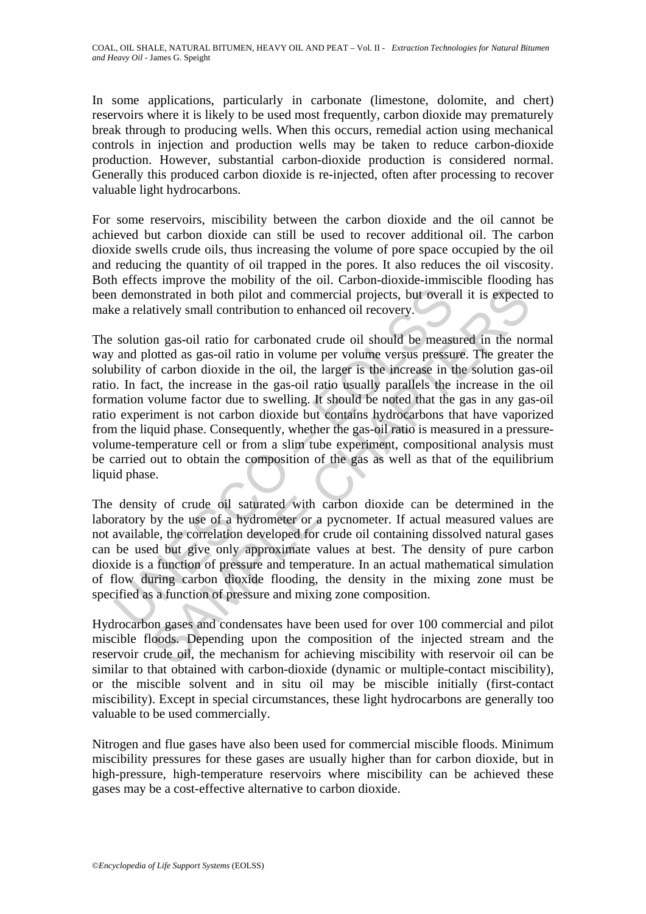In some applications, particularly in carbonate (limestone, dolomite, and chert) reservoirs where it is likely to be used most frequently, carbon dioxide may prematurely break through to producing wells. When this occurs, remedial action using mechanical controls in injection and production wells may be taken to reduce carbon-dioxide production. However, substantial carbon-dioxide production is considered normal. Generally this produced carbon dioxide is re-injected, often after processing to recover valuable light hydrocarbons.

For some reservoirs, miscibility between the carbon dioxide and the oil cannot be achieved but carbon dioxide can still be used to recover additional oil. The carbon dioxide swells crude oils, thus increasing the volume of pore space occupied by the oil and reducing the quantity of oil trapped in the pores. It also reduces the oil viscosity. Both effects improve the mobility of the oil. Carbon-dioxide-immiscible flooding has been demonstrated in both pilot and commercial projects, but overall it is expected to make a relatively small contribution to enhanced oil recovery.

a demonstrated in both pilot and commercial projects, but overa<br>
ce a relatively small contribution to enhanced oil recovery.<br>
solution gas-oil ratio for carbonated crude oil should be meast<br>
and plotted as gas-oil ratio i Instrated in both pilot and commercial projects, but overall it is expected<br>tively small contribution to enhanced oil recovery.<br>
In gas-oil ratio for carbonated crude oil should be measured in the not<br>olted as gas-oil rati The solution gas-oil ratio for carbonated crude oil should be measured in the normal way and plotted as gas-oil ratio in volume per volume versus pressure. The greater the solubility of carbon dioxide in the oil, the larger is the increase in the solution gas-oil ratio. In fact, the increase in the gas-oil ratio usually parallels the increase in the oil formation volume factor due to swelling. It should be noted that the gas in any gas-oil ratio experiment is not carbon dioxide but contains hydrocarbons that have vaporized from the liquid phase. Consequently, whether the gas-oil ratio is measured in a pressurevolume-temperature cell or from a slim tube experiment, compositional analysis must be carried out to obtain the composition of the gas as well as that of the equilibrium liquid phase.

The density of crude oil saturated with carbon dioxide can be determined in the laboratory by the use of a hydrometer or a pycnometer. If actual measured values are not available, the correlation developed for crude oil containing dissolved natural gases can be used but give only approximate values at best. The density of pure carbon dioxide is a function of pressure and temperature. In an actual mathematical simulation of flow during carbon dioxide flooding, the density in the mixing zone must be specified as a function of pressure and mixing zone composition.

Hydrocarbon gases and condensates have been used for over 100 commercial and pilot miscible floods. Depending upon the composition of the injected stream and the reservoir crude oil, the mechanism for achieving miscibility with reservoir oil can be similar to that obtained with carbon-dioxide (dynamic or multiple-contact miscibility), or the miscible solvent and in situ oil may be miscible initially (first-contact miscibility). Except in special circumstances, these light hydrocarbons are generally too valuable to be used commercially.

Nitrogen and flue gases have also been used for commercial miscible floods. Minimum miscibility pressures for these gases are usually higher than for carbon dioxide, but in high-pressure, high-temperature reservoirs where miscibility can be achieved these gases may be a cost-effective alternative to carbon dioxide.